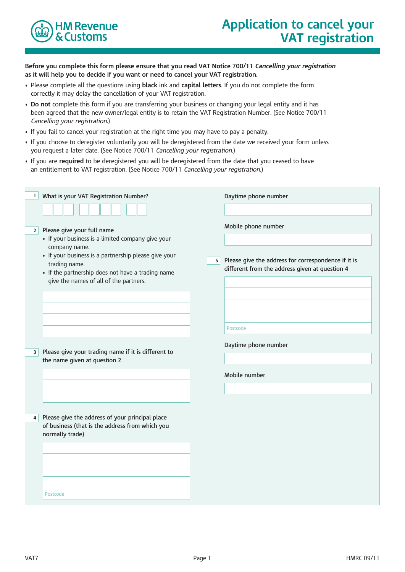

**Before you complete this form please ensure that you read VAT Notice 700/11** *Cancelling your registration* **as it will help you to decide if you want or need to cancel your VAT registration.**

- • Please complete all the questions using **black** ink and **capital letters**. If you do not complete the form correctly it may delay the cancellation of your VAT registration.
- • **Do not** complete this form if you are transferring your business or changing your legal entity and it has been agreed that the new owner/legal entity is to retain the VAT Registration Number. (See Notice 700/11 *Cancelling your registration.*)
- If you fail to cancel your registration at the right time you may have to pay a penalty.
- If you choose to deregister voluntarily you will be deregistered from the date we received your form unless you request a later date. (See Notice 700/11 *Cancelling your registration.*)
- If you are **required** to be deregistered you will be deregistered from the date that you ceased to have an entitlement to VAT registration. (See Notice 700/11 *Cancelling your registration.*)

| What is your VAT Registration Number?<br>$\mathbf{1}$                                                                                                                                                                                                                          | Daytime phone number                                                                                                               |
|--------------------------------------------------------------------------------------------------------------------------------------------------------------------------------------------------------------------------------------------------------------------------------|------------------------------------------------------------------------------------------------------------------------------------|
| Please give your full name<br>2 <br>• If your business is a limited company give your<br>company name.<br>· If your business is a partnership please give your<br>trading name.<br>• If the partnership does not have a trading name<br>give the names of all of the partners. | Mobile phone number<br>Please give the address for correspondence if it is<br>5 <br>different from the address given at question 4 |
| Please give your trading name if it is different to<br>3 <sup>1</sup><br>the name given at question 2                                                                                                                                                                          | Postcode<br>Daytime phone number                                                                                                   |
|                                                                                                                                                                                                                                                                                | Mobile number                                                                                                                      |
| Please give the address of your principal place<br>4 <sup>1</sup><br>of business (that is the address from which you<br>normally trade)                                                                                                                                        |                                                                                                                                    |
| Postcode                                                                                                                                                                                                                                                                       |                                                                                                                                    |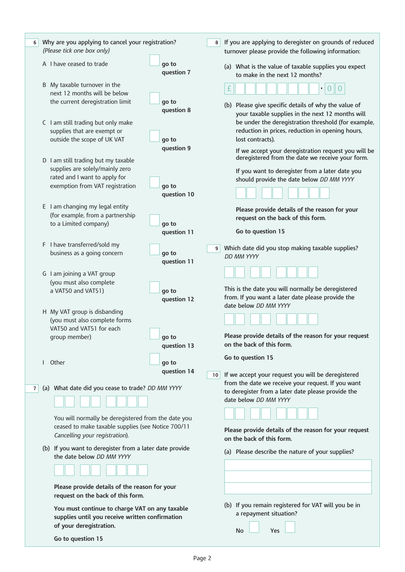| 6              |  | Why are you applying to cancel your registration?<br>(Please tick one box only)                                                                                                                                                                                                                                                                                               |                                                                                                   | 8                                                | If you are applying to deregister on grounds of reduced<br>turnover please provide the following information:                                                                                                                         |
|----------------|--|-------------------------------------------------------------------------------------------------------------------------------------------------------------------------------------------------------------------------------------------------------------------------------------------------------------------------------------------------------------------------------|---------------------------------------------------------------------------------------------------|--------------------------------------------------|---------------------------------------------------------------------------------------------------------------------------------------------------------------------------------------------------------------------------------------|
|                |  | A I have ceased to trade                                                                                                                                                                                                                                                                                                                                                      | go to<br>question 7                                                                               |                                                  | (a) What is the value of taxable supplies you expect<br>to make in the next 12 months?                                                                                                                                                |
|                |  | B My taxable turnover in the<br>next 12 months will be below<br>the current deregistration limit<br>C I am still trading but only make<br>supplies that are exempt or                                                                                                                                                                                                         | go to<br>question 8                                                                               |                                                  | £<br>$\bullet$<br>(b) Please give specific details of why the value of<br>your taxable supplies in the next 12 months will<br>be under the deregistration threshold (for example,<br>reduction in prices, reduction in opening hours, |
|                |  | outside the scope of UK VAT<br>D I am still trading but my taxable                                                                                                                                                                                                                                                                                                            | go to<br>question 9                                                                               |                                                  | lost contracts).<br>If we accept your deregistration request you will be<br>deregistered from the date we receive your form.                                                                                                          |
|                |  | supplies are solely/mainly zero<br>rated and I want to apply for<br>exemption from VAT registration                                                                                                                                                                                                                                                                           | go to<br>question 10                                                                              |                                                  | If you want to deregister from a later date you<br>should provide the date below DD MM YYYY                                                                                                                                           |
|                |  | E I am changing my legal entity<br>(for example, from a partnership<br>to a Limited company)<br>go to                                                                                                                                                                                                                                                                         |                                                                                                   |                                                  | Please provide details of the reason for your<br>request on the back of this form.                                                                                                                                                    |
|                |  | F I have transferred/sold my<br>business as a going concern                                                                                                                                                                                                                                                                                                                   | question 11<br>go to<br>question 11                                                               | 9 <sup>1</sup>                                   | Go to question 15<br>Which date did you stop making taxable supplies?<br><b>DD MM YYYY</b><br>This is the date you will normally be deregistered<br>from. If you want a later date please provide the                                 |
|                |  | G I am joining a VAT group<br>(you must also complete<br>a VAT50 and VAT51)<br>go to                                                                                                                                                                                                                                                                                          | question 12                                                                                       |                                                  |                                                                                                                                                                                                                                       |
|                |  | H My VAT group is disbanding<br>(you must also complete forms<br>VAT50 and VAT51 for each<br>group member)                                                                                                                                                                                                                                                                    | go to<br>question 13                                                                              |                                                  | date below DD MM YYYY<br>Please provide details of the reason for your request<br>on the back of this form.                                                                                                                           |
|                |  | I Other                                                                                                                                                                                                                                                                                                                                                                       | go to<br>question 14                                                                              | 10 <sup>1</sup>                                  | Go to question 15<br>If we accept your request you will be deregistered                                                                                                                                                               |
| 7 <sup>1</sup> |  | (a) What date did you cease to trade? DD MM YYYY<br>You will normally be deregistered from the date you<br>ceased to make taxable supplies (see Notice 700/11<br>Cancelling your registration).<br>(b) If you want to deregister from a later date provide<br>the date below DD MM YYYY<br>Please provide details of the reason for your<br>request on the back of this form. |                                                                                                   |                                                  | from the date we receive your request. If you want<br>to deregister from a later date please provide the<br>date below DD MM YYYY<br>Please provide details of the reason for your request<br>on the back of this form.               |
|                |  |                                                                                                                                                                                                                                                                                                                                                                               |                                                                                                   | (a) Please describe the nature of your supplies? |                                                                                                                                                                                                                                       |
|                |  |                                                                                                                                                                                                                                                                                                                                                                               |                                                                                                   |                                                  |                                                                                                                                                                                                                                       |
|                |  | of your deregistration.                                                                                                                                                                                                                                                                                                                                                       | You must continue to charge VAT on any taxable<br>supplies until you receive written confirmation |                                                  | (b) If you remain registered for VAT will you be in<br>a repayment situation?                                                                                                                                                         |
|                |  | Go to question 15                                                                                                                                                                                                                                                                                                                                                             |                                                                                                   |                                                  | No<br>Yes                                                                                                                                                                                                                             |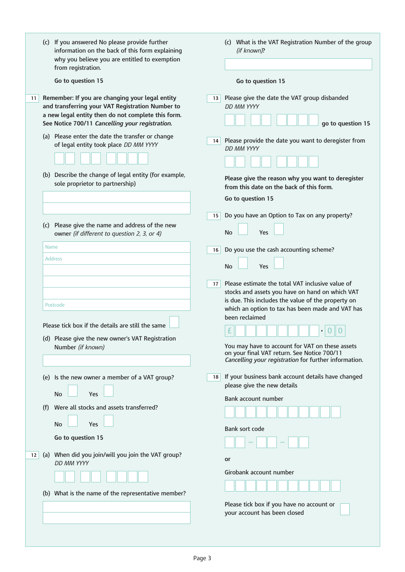|    | (c) If you answered No please provide further<br>information on the back of this form explaining<br>why you believe you are entitled to exemption<br>from registration.<br>Go to question 15 | (c) What is the VAT Registration Number of the group<br>(if known)?<br>Go to question 15                                                                                                                                              |
|----|----------------------------------------------------------------------------------------------------------------------------------------------------------------------------------------------|---------------------------------------------------------------------------------------------------------------------------------------------------------------------------------------------------------------------------------------|
| 11 | Remember: If you are changing your legal entity<br>and transferring your VAT Registration Number to<br>a new legal entity then do not complete this form.                                    | Please give the date the VAT group disbanded<br>13 <sup>1</sup><br>DD MM YYYY                                                                                                                                                         |
|    | See Notice 700/11 Cancelling your registration.<br>(a) Please enter the date the transfer or change<br>of legal entity took place DD MM YYYY                                                 | go to question 15<br>Please provide the date you want to deregister from<br>14<br>DD MM YYYY                                                                                                                                          |
|    | (b) Describe the change of legal entity (for example,<br>sole proprietor to partnership)                                                                                                     | Please give the reason why you want to deregister<br>from this date on the back of this form.<br>Go to question 15                                                                                                                    |
|    | (c) Please give the name and address of the new<br>owner (if different to question 2, 3, or 4)                                                                                               | Do you have an Option to Tax on any property?<br>15<br>Yes<br>No                                                                                                                                                                      |
|    | Name<br><b>Address</b>                                                                                                                                                                       | Do you use the cash accounting scheme?<br>16<br><b>No</b><br>Yes                                                                                                                                                                      |
|    | Postcode                                                                                                                                                                                     | Please estimate the total VAT inclusive value of<br>17<br>stocks and assets you have on hand on which VAT<br>is due. This includes the value of the property on<br>which an option to tax has been made and VAT has<br>been reclaimed |
|    | Please tick box if the details are still the same<br>(d) Please give the new owner's VAT Registration<br>Number (if known)                                                                   | £<br>$\bullet$<br>You may have to account for VAT on these assets<br>on your final VAT return. See Notice 700/11<br>Cancelling your registration for further information.                                                             |
|    | (e) Is the new owner a member of a VAT group?<br>No<br>Yes                                                                                                                                   | If your business bank account details have changed<br>18<br>please give the new details<br>Bank account number                                                                                                                        |
|    | Were all stocks and assets transferred?<br>(f)<br><b>No</b><br>Yes<br>Go to question 15                                                                                                      | Bank sort code                                                                                                                                                                                                                        |
| 12 | (a) When did you join/will you join the VAT group?<br>DD MM YYYY                                                                                                                             | or                                                                                                                                                                                                                                    |
|    | (b) What is the name of the representative member?                                                                                                                                           | Girobank account number                                                                                                                                                                                                               |
|    |                                                                                                                                                                                              | Please tick box if you have no account or<br>your account has been closed                                                                                                                                                             |